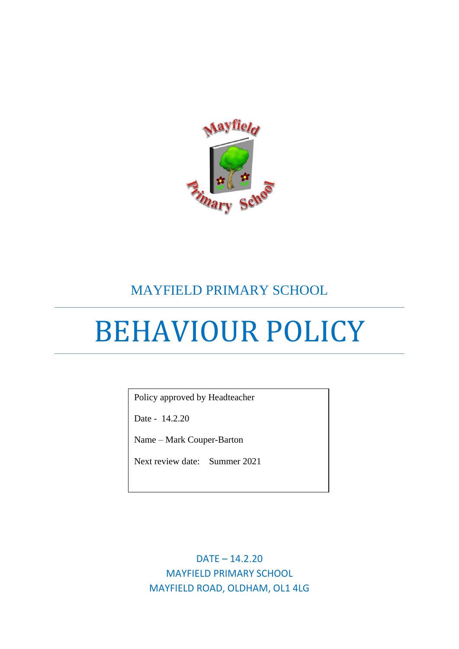

# MAYFIELD PRIMARY SCHOOL

# BEHAVIOUR POLICY

Policy approved by Headteacher

Date - 14.2.20

Name – Mark Couper-Barton

Next review date: Summer 2021

DATE – 14.2.20 MAYFIELD PRIMARY SCHOOL MAYFIELD ROAD, OLDHAM, OL1 4LG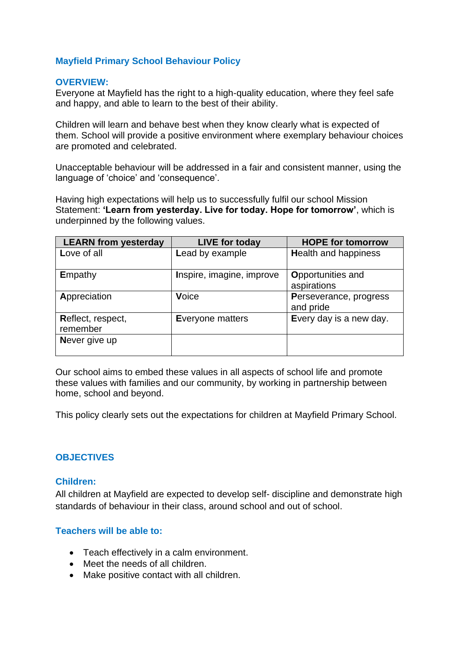# **Mayfield Primary School Behaviour Policy**

#### **OVERVIEW:**

Everyone at Mayfield has the right to a high-quality education, where they feel safe and happy, and able to learn to the best of their ability.

Children will learn and behave best when they know clearly what is expected of them. School will provide a positive environment where exemplary behaviour choices are promoted and celebrated.

Unacceptable behaviour will be addressed in a fair and consistent manner, using the language of 'choice' and 'consequence'.

Having high expectations will help us to successfully fulfil our school Mission Statement: **'Learn from yesterday. Live for today. Hope for tomorrow'**, which is underpinned by the following values.

| <b>LEARN from yesterday</b>   | <b>LIVE for today</b>     | <b>HOPE for tomorrow</b>            |
|-------------------------------|---------------------------|-------------------------------------|
| Love of all                   | Lead by example           | <b>Health and happiness</b>         |
| Empathy                       | Inspire, imagine, improve | Opportunities and<br>aspirations    |
| Appreciation                  | Voice                     | Perseverance, progress<br>and pride |
| Reflect, respect,<br>remember | Everyone matters          | Every day is a new day.             |
| Never give up                 |                           |                                     |

Our school aims to embed these values in all aspects of school life and promote these values with families and our community, by working in partnership between home, school and beyond.

This policy clearly sets out the expectations for children at Mayfield Primary School.

# **OBJECTIVES**

# **Children:**

All children at Mayfield are expected to develop self- discipline and demonstrate high standards of behaviour in their class, around school and out of school.

# **Teachers will be able to:**

- Teach effectively in a calm environment.
- Meet the needs of all children.
- Make positive contact with all children.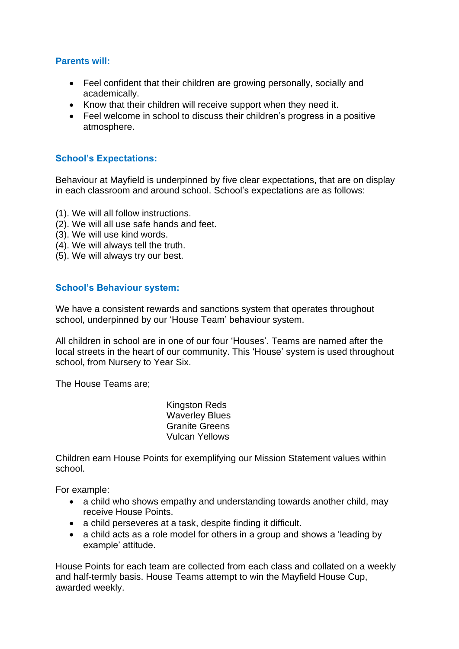# **Parents will:**

- Feel confident that their children are growing personally, socially and academically.
- Know that their children will receive support when they need it.
- Feel welcome in school to discuss their children's progress in a positive atmosphere.

# **School's Expectations:**

Behaviour at Mayfield is underpinned by five clear expectations, that are on display in each classroom and around school. School's expectations are as follows:

- (1). We will all follow instructions.
- (2). We will all use safe hands and feet.
- (3). We will use kind words.
- (4). We will always tell the truth.
- (5). We will always try our best.

#### **School's Behaviour system:**

We have a consistent rewards and sanctions system that operates throughout school, underpinned by our 'House Team' behaviour system.

All children in school are in one of our four 'Houses'. Teams are named after the local streets in the heart of our community. This 'House' system is used throughout school, from Nursery to Year Six.

The House Teams are;

Kingston Reds Waverley Blues Granite Greens Vulcan Yellows

Children earn House Points for exemplifying our Mission Statement values within school.

For example:

- a child who shows empathy and understanding towards another child, may receive House Points.
- a child perseveres at a task, despite finding it difficult.
- a child acts as a role model for others in a group and shows a 'leading by example' attitude.

House Points for each team are collected from each class and collated on a weekly and half-termly basis. House Teams attempt to win the Mayfield House Cup, awarded weekly.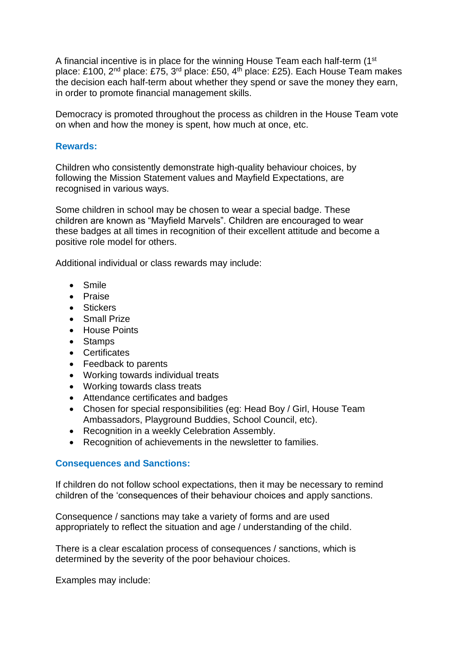A financial incentive is in place for the winning House Team each half-term (1st place: £100, 2<sup>nd</sup> place: £75, 3<sup>rd</sup> place: £50, 4<sup>th</sup> place: £25). Each House Team makes the decision each half-term about whether they spend or save the money they earn, in order to promote financial management skills.

Democracy is promoted throughout the process as children in the House Team vote on when and how the money is spent, how much at once, etc.

#### **Rewards:**

Children who consistently demonstrate high-quality behaviour choices, by following the Mission Statement values and Mayfield Expectations, are recognised in various ways.

Some children in school may be chosen to wear a special badge. These children are known as "Mayfield Marvels". Children are encouraged to wear these badges at all times in recognition of their excellent attitude and become a positive role model for others.

Additional individual or class rewards may include:

- Smile
- Praise
- Stickers
- Small Prize
- House Points
- Stamps
- Certificates
- Feedback to parents
- Working towards individual treats
- Working towards class treats
- Attendance certificates and badges
- Chosen for special responsibilities (eg: Head Boy / Girl, House Team Ambassadors, Playground Buddies, School Council, etc).
- Recognition in a weekly Celebration Assembly.
- Recognition of achievements in the newsletter to families.

# **Consequences and Sanctions:**

If children do not follow school expectations, then it may be necessary to remind children of the 'consequences of their behaviour choices and apply sanctions.

Consequence / sanctions may take a variety of forms and are used appropriately to reflect the situation and age / understanding of the child.

There is a clear escalation process of consequences / sanctions, which is determined by the severity of the poor behaviour choices.

Examples may include: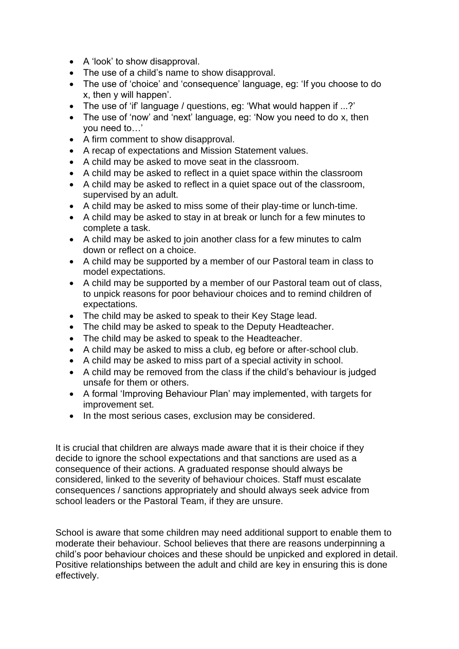- A 'look' to show disapproval.
- The use of a child's name to show disapproval.
- The use of 'choice' and 'consequence' language, eg: 'If you choose to do x, then y will happen'.
- The use of 'if' language / questions, eg: 'What would happen if ...?'
- The use of 'now' and 'next' language, eg: 'Now you need to do x, then you need to…'
- A firm comment to show disapproval.
- A recap of expectations and Mission Statement values.
- A child may be asked to move seat in the classroom.
- A child may be asked to reflect in a quiet space within the classroom
- A child may be asked to reflect in a quiet space out of the classroom, supervised by an adult.
- A child may be asked to miss some of their play-time or lunch-time.
- A child may be asked to stay in at break or lunch for a few minutes to complete a task.
- A child may be asked to join another class for a few minutes to calm down or reflect on a choice.
- A child may be supported by a member of our Pastoral team in class to model expectations.
- A child may be supported by a member of our Pastoral team out of class, to unpick reasons for poor behaviour choices and to remind children of expectations.
- The child may be asked to speak to their Key Stage lead.
- The child may be asked to speak to the Deputy Headteacher.
- The child may be asked to speak to the Headteacher.
- A child may be asked to miss a club, eg before or after-school club.
- A child may be asked to miss part of a special activity in school.
- A child may be removed from the class if the child's behaviour is judged unsafe for them or others.
- A formal 'Improving Behaviour Plan' may implemented, with targets for improvement set.
- In the most serious cases, exclusion may be considered.

It is crucial that children are always made aware that it is their choice if they decide to ignore the school expectations and that sanctions are used as a consequence of their actions. A graduated response should always be considered, linked to the severity of behaviour choices. Staff must escalate consequences / sanctions appropriately and should always seek advice from school leaders or the Pastoral Team, if they are unsure.

School is aware that some children may need additional support to enable them to moderate their behaviour. School believes that there are reasons underpinning a child's poor behaviour choices and these should be unpicked and explored in detail. Positive relationships between the adult and child are key in ensuring this is done effectively.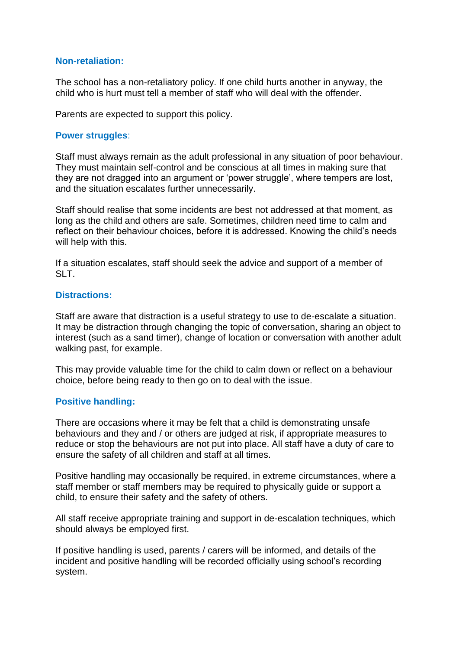#### **Non-retaliation:**

The school has a non-retaliatory policy. If one child hurts another in anyway, the child who is hurt must tell a member of staff who will deal with the offender.

Parents are expected to support this policy.

#### **Power struggles**:

Staff must always remain as the adult professional in any situation of poor behaviour. They must maintain self-control and be conscious at all times in making sure that they are not dragged into an argument or 'power struggle', where tempers are lost, and the situation escalates further unnecessarily.

Staff should realise that some incidents are best not addressed at that moment, as long as the child and others are safe. Sometimes, children need time to calm and reflect on their behaviour choices, before it is addressed. Knowing the child's needs will help with this.

If a situation escalates, staff should seek the advice and support of a member of SLT.

#### **Distractions:**

Staff are aware that distraction is a useful strategy to use to de-escalate a situation. It may be distraction through changing the topic of conversation, sharing an object to interest (such as a sand timer), change of location or conversation with another adult walking past, for example.

This may provide valuable time for the child to calm down or reflect on a behaviour choice, before being ready to then go on to deal with the issue.

# **Positive handling:**

There are occasions where it may be felt that a child is demonstrating unsafe behaviours and they and / or others are judged at risk, if appropriate measures to reduce or stop the behaviours are not put into place. All staff have a duty of care to ensure the safety of all children and staff at all times.

Positive handling may occasionally be required, in extreme circumstances, where a staff member or staff members may be required to physically guide or support a child, to ensure their safety and the safety of others.

All staff receive appropriate training and support in de-escalation techniques, which should always be employed first.

If positive handling is used, parents / carers will be informed, and details of the incident and positive handling will be recorded officially using school's recording system.